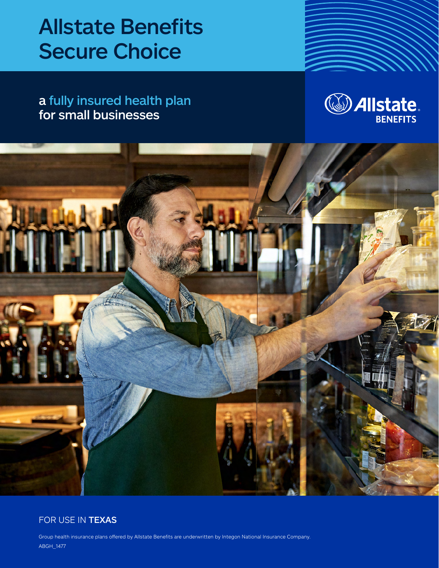# Allstate Benefits Secure Choice

a fully insured health plan for small businesses





### FOR USE IN TEXAS

Group health insurance plans offered by Allstate Benefits are underwritten by Integon National Insurance Company. ABGH\_1477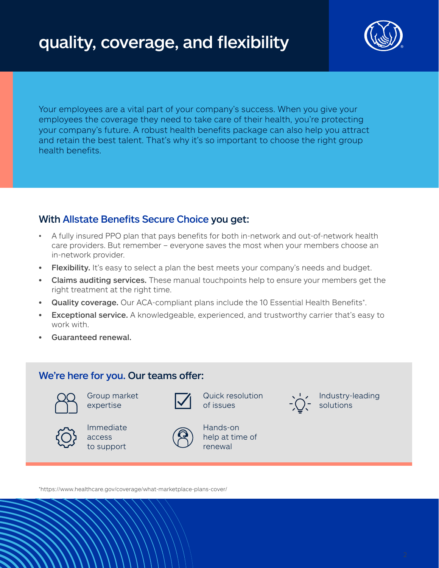

Your employees are a vital part of your company's success. When you give your employees the coverage they need to take care of their health, you're protecting your company's future. A robust health benefits package can also help you attract and retain the best talent. That's why it's so important to choose the right group health benefits.

## With Allstate Benefits Secure Choice you get:

- A fully insured PPO plan that pays benefits for both in-network and out-of-network health care providers. But remember – everyone saves the most when your members choose an in-network provider.
- Flexibility. It's easy to select a plan the best meets your company's needs and budget.
- **Claims auditing services.** These manual touchpoints help to ensure your members get the right treatment at the right time.
- Quality coverage. Our ACA-compliant plans include the 10 Essential Health Benefits\*.
- **Exceptional service.** A knowledgeable, experienced, and trustworthy carrier that's easy to work with.
- Guaranteed renewal.

## We're here for you. Our teams offer:



Group market expertise



Quick resolution of issues



Immediate access to support



Hands-on help at time of renewal

Industry-leading solutions

\*https://www.healthcare.gov/coverage/what-marketplace-plans-cover/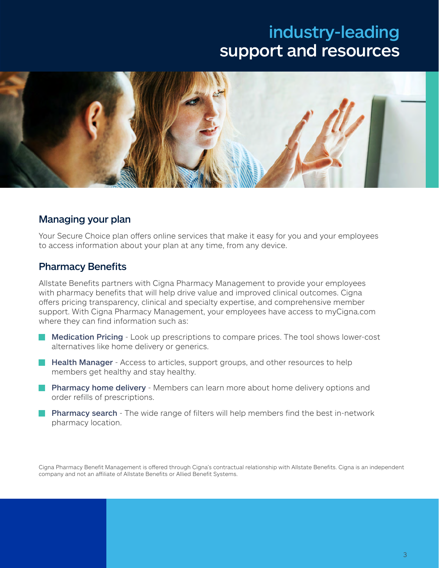## industry-leading support and resources



### Managing your plan

Your Secure Choice plan offers online services that make it easy for you and your employees to access information about your plan at any time, from any device.

### Pharmacy Benefits

Allstate Benefits partners with Cigna Pharmacy Management to provide your employees with pharmacy benefits that will help drive value and improved clinical outcomes. Cigna offers pricing transparency, clinical and specialty expertise, and comprehensive member support. With Cigna Pharmacy Management, your employees have access to myCigna.com where they can find information such as:

- **Medication Pricing** Look up prescriptions to compare prices. The tool shows lower-cost alternatives like home delivery or generics.
- **Health Manager** Access to articles, support groups, and other resources to help members get healthy and stay healthy.
- **Pharmacy home delivery** Members can learn more about home delivery options and order refills of prescriptions.
- **Pharmacy search** The wide range of filters will help members find the best in-network pharmacy location.

Cigna Pharmacy Benefit Management is offered through Cigna's contractual relationship with Allstate Benefits. Cigna is an independent company and not an affiliate of Allstate Benefits or Allied Benefit Systems.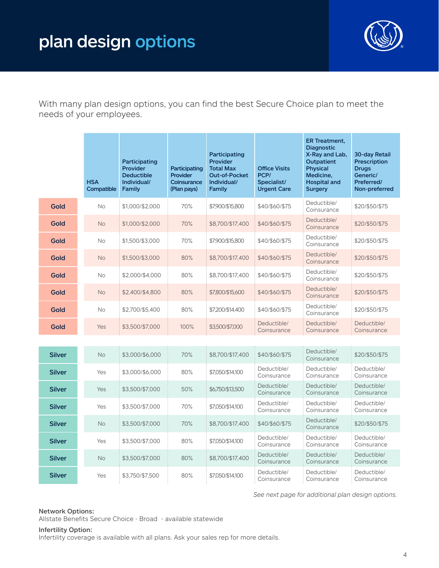## plan design options



With many plan design options, you can find the best Secure Choice plan to meet the needs of your employees.

|               | <b>HSA</b><br>Compatible | Participating<br>Provider<br><b>Deductible</b><br>Individual/<br>Family | Participating<br>Provider<br>Coinsurance<br>(Plan pays) | Participating<br><b>Provider</b><br><b>Total Max</b><br><b>Out-of-Pocket</b><br>Individual/<br>Family | <b>Office Visits</b><br>PCP/<br>Specialist/<br><b>Urgent Care</b> | <b>ER Treatment,</b><br><b>Diagnostic</b><br>X-Ray and Lab,<br><b>Outpatient</b><br><b>Physical</b><br>Medicine,<br><b>Hospital and</b><br><b>Surgery</b> | <b>30-day Retail</b><br>Prescription<br><b>Drugs</b><br>Generic/<br>Preferred/<br>Non-preferred |
|---------------|--------------------------|-------------------------------------------------------------------------|---------------------------------------------------------|-------------------------------------------------------------------------------------------------------|-------------------------------------------------------------------|-----------------------------------------------------------------------------------------------------------------------------------------------------------|-------------------------------------------------------------------------------------------------|
| Gold          | <b>No</b>                | \$1,000/\$2,000                                                         | 70%                                                     | \$7,900/\$15,800                                                                                      | \$40/\$60/\$75                                                    | Deductible/<br>Coinsurance                                                                                                                                | \$20/\$50/\$75                                                                                  |
| Gold          | No                       | \$1,000/\$2,000                                                         | 70%                                                     | \$8,700/\$17,400                                                                                      | \$40/\$60/\$75                                                    | Deductible/<br>Coinsurance                                                                                                                                | \$20/\$50/\$75                                                                                  |
| Gold          | No                       | \$1,500/\$3,000                                                         | 70%                                                     | \$7,900/\$15,800                                                                                      | \$40/\$60/\$75                                                    | Deductible/<br>Coinsurance                                                                                                                                | \$20/\$50/\$75                                                                                  |
| Gold          | No                       | \$1,500/\$3,000                                                         | 80%                                                     | \$8,700/\$17,400                                                                                      | \$40/\$60/\$75                                                    | Deductible/<br>Coinsurance                                                                                                                                | \$20/\$50/\$75                                                                                  |
| Gold          | No                       | \$2,000/\$4,000                                                         | 80%                                                     | \$8,700/\$17,400                                                                                      | \$40/\$60/\$75                                                    | Deductible/<br>Coinsurance                                                                                                                                | \$20/\$50/\$75                                                                                  |
| Gold          | <b>No</b>                | \$2,400/\$4,800                                                         | 80%                                                     | \$7,800/\$15,600                                                                                      | \$40/\$60/\$75                                                    | Deductible/<br>Coinsurance                                                                                                                                | \$20/\$50/\$75                                                                                  |
| Gold          | No                       | \$2,700/\$5,400                                                         | 80%                                                     | \$7,200/\$14,400                                                                                      | \$40/\$60/\$75                                                    | Deductible/<br>Coinsurance                                                                                                                                | \$20/\$50/\$75                                                                                  |
| Gold          | Yes                      | \$3,500/\$7,000                                                         | 100%                                                    | \$3,500/\$7,000                                                                                       | Deductible/<br>Coinsurance                                        | Deductible/<br>Coinsurance                                                                                                                                | Deductible/<br>Coinsurance                                                                      |
|               |                          |                                                                         |                                                         |                                                                                                       |                                                                   |                                                                                                                                                           |                                                                                                 |
| <b>Silver</b> | <b>No</b>                | \$3,000/\$6,000                                                         | 70%                                                     | \$8,700/\$17,400                                                                                      | \$40/\$60/\$75                                                    | Deductible/<br>Coinsurance                                                                                                                                | \$20/\$50/\$75                                                                                  |
| <b>Silver</b> | Yes                      | \$3,000/\$6,000                                                         | 80%                                                     | \$7,050/\$14,100                                                                                      | Deductible/<br>Coinsurance                                        | Deductible/<br>Coinsurance                                                                                                                                | Deductible/<br>Coinsurance                                                                      |
| <b>Silver</b> | Yes                      | \$3,500/\$7,000                                                         | 50%                                                     | \$6,750/\$13,500                                                                                      | Deductible/<br>Coinsurance                                        | Deductible/<br>Coinsurance                                                                                                                                | Deductible/<br>Coinsurance                                                                      |
| <b>Silver</b> | Yes                      | \$3,500/\$7,000                                                         | 70%                                                     | \$7,050/\$14,100                                                                                      | Deductible/<br>Coinsurance                                        | Deductible/<br>Coinsurance                                                                                                                                | Deductible/<br>Coinsurance                                                                      |
| <b>Silver</b> | <b>No</b>                | \$3,500/\$7,000                                                         | 70%                                                     | \$8,700/\$17,400                                                                                      | \$40/\$60/\$75                                                    | Deductible/<br>Coinsurance                                                                                                                                | \$20/\$50/\$75                                                                                  |
| <b>Silver</b> | Yes                      | \$3,500/\$7,000                                                         | 80%                                                     | \$7,050/\$14,100                                                                                      | Deductible/<br>Coinsurance                                        | Deductible/<br>Coinsurance                                                                                                                                | Deductible/<br>Coinsurance                                                                      |
| <b>Silver</b> | No                       | \$3,500/\$7,000                                                         | 80%                                                     | \$8,700/\$17,400                                                                                      | Deductible/<br>Coinsurance                                        | Deductible/<br>Coinsurance                                                                                                                                | Deductible/<br>Coinsurance                                                                      |
| <b>Silver</b> | Yes                      | \$3,750/\$7,500                                                         | 80%                                                     | \$7,050/\$14,100                                                                                      | Deductible/<br>Coinsurance                                        | Deductible/<br>Coinsurance                                                                                                                                | Deductible/<br>Coinsurance                                                                      |

*See next page for additional plan design options.*

#### Network Options:

Allstate Benefits Secure Choice - Broad - available statewide

#### Infertility Option:

Infertility coverage is available with all plans. Ask your sales rep for more details.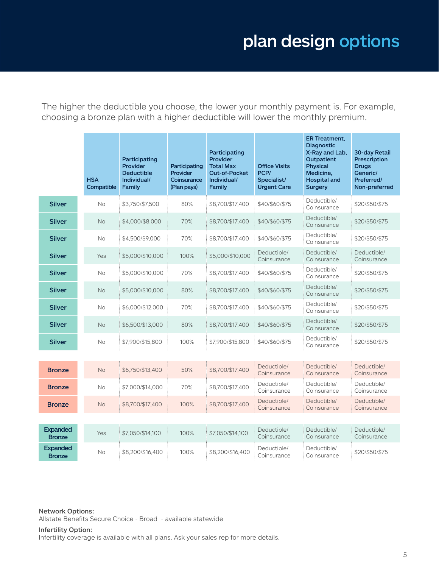## plan design options

The higher the deductible you choose, the lower your monthly payment is. For example, choosing a bronze plan with a higher deductible will lower the monthly premium.

|                                  | <b>HSA</b><br>Compatible | Participating<br>Provider<br><b>Deductible</b><br>Individual/<br>Family | Participating<br><b>Provider</b><br>Coinsurance<br>(Plan pays) | Participating<br>Provider<br><b>Total Max</b><br><b>Out-of-Pocket</b><br>Individual/<br>Family | <b>Office Visits</b><br>PCP/<br>Specialist/<br><b>Urgent Care</b> | <b>ER Treatment,</b><br><b>Diagnostic</b><br>X-Ray and Lab,<br><b>Outpatient</b><br><b>Physical</b><br>Medicine,<br><b>Hospital and</b><br><b>Surgery</b> | <b>30-day Retail</b><br>Prescription<br><b>Drugs</b><br>Generic/<br>Preferred/<br>Non-preferred |
|----------------------------------|--------------------------|-------------------------------------------------------------------------|----------------------------------------------------------------|------------------------------------------------------------------------------------------------|-------------------------------------------------------------------|-----------------------------------------------------------------------------------------------------------------------------------------------------------|-------------------------------------------------------------------------------------------------|
| <b>Silver</b>                    | <b>No</b>                | \$3,750/\$7,500                                                         | 80%                                                            | \$8,700/\$17,400                                                                               | \$40/\$60/\$75                                                    | Deductible/<br>Coinsurance                                                                                                                                | \$20/\$50/\$75                                                                                  |
| <b>Silver</b>                    | <b>No</b>                | \$4,000/\$8,000                                                         | 70%                                                            | \$8,700/\$17,400                                                                               | \$40/\$60/\$75                                                    | Deductible/<br>Coinsurance                                                                                                                                | \$20/\$50/\$75                                                                                  |
| <b>Silver</b>                    | <b>No</b>                | \$4,500/\$9,000                                                         | 70%                                                            | \$8,700/\$17,400                                                                               | \$40/\$60/\$75                                                    | Deductible/<br>Coinsurance                                                                                                                                | \$20/\$50/\$75                                                                                  |
| <b>Silver</b>                    | Yes                      | \$5,000/\$10,000                                                        | 100%                                                           | \$5,000/\$10,000                                                                               | Deductible/<br>Coinsurance                                        | Deductible/<br>Coinsurance                                                                                                                                | Deductible/<br>Coinsurance                                                                      |
| <b>Silver</b>                    | <b>No</b>                | \$5,000/\$10,000                                                        | 70%                                                            | \$8,700/\$17,400                                                                               | \$40/\$60/\$75                                                    | Deductible/<br>Coinsurance                                                                                                                                | \$20/\$50/\$75                                                                                  |
| <b>Silver</b>                    | <b>No</b>                | \$5,000/\$10,000                                                        | 80%                                                            | \$8,700/\$17,400                                                                               | \$40/\$60/\$75                                                    | Deductible/<br>Coinsurance                                                                                                                                | \$20/\$50/\$75                                                                                  |
| <b>Silver</b>                    | No                       | \$6,000/\$12,000                                                        | 70%                                                            | \$8,700/\$17,400                                                                               | \$40/\$60/\$75                                                    | Deductible/<br>Coinsurance                                                                                                                                | \$20/\$50/\$75                                                                                  |
| <b>Silver</b>                    | <b>No</b>                | \$6,500/\$13,000                                                        | 80%                                                            | \$8,700/\$17,400                                                                               | \$40/\$60/\$75                                                    | Deductible/<br>Coinsurance                                                                                                                                | \$20/\$50/\$75                                                                                  |
| <b>Silver</b>                    | No                       | \$7,900/\$15,800                                                        | 100%                                                           | \$7,900/\$15,800                                                                               | \$40/\$60/\$75                                                    | Deductible/<br>Coinsurance                                                                                                                                | \$20/\$50/\$75                                                                                  |
| <b>Bronze</b>                    | <b>No</b>                | \$6,750/\$13,400                                                        | 50%                                                            | \$8,700/\$17,400                                                                               | Deductible/<br>Coinsurance                                        | Deductible/<br>Coinsurance                                                                                                                                | Deductible/<br>Coinsurance                                                                      |
| <b>Bronze</b>                    | No                       | \$7,000/\$14,000                                                        | 70%                                                            | \$8,700/\$17,400                                                                               | Deductible/<br>Coinsurance                                        | Deductible/<br>Coinsurance                                                                                                                                | Deductible/<br>Coinsurance                                                                      |
| <b>Bronze</b>                    | <b>No</b>                | \$8,700/\$17,400                                                        | 100%                                                           | \$8,700/\$17,400                                                                               | Deductible/<br>Coinsurance                                        | Deductible/<br>Coinsurance                                                                                                                                | Deductible/<br>Coinsurance                                                                      |
|                                  |                          |                                                                         |                                                                |                                                                                                |                                                                   |                                                                                                                                                           |                                                                                                 |
| <b>Expanded</b><br><b>Bronze</b> | Yes                      | \$7,050/\$14,100                                                        | 100%                                                           | \$7,050/\$14,100                                                                               | Deductible/<br>Coinsurance                                        | Deductible/<br>Coinsurance                                                                                                                                | Deductible/<br>Coinsurance                                                                      |
| <b>Expanded</b><br><b>Bronze</b> | No                       | \$8,200/\$16,400                                                        | 100%                                                           | \$8,200/\$16,400                                                                               | Deductible/<br>Coinsurance                                        | Deductible/<br>Coinsurance                                                                                                                                | \$20/\$50/\$75                                                                                  |

Network Options:

Allstate Benefits Secure Choice - Broad - available statewide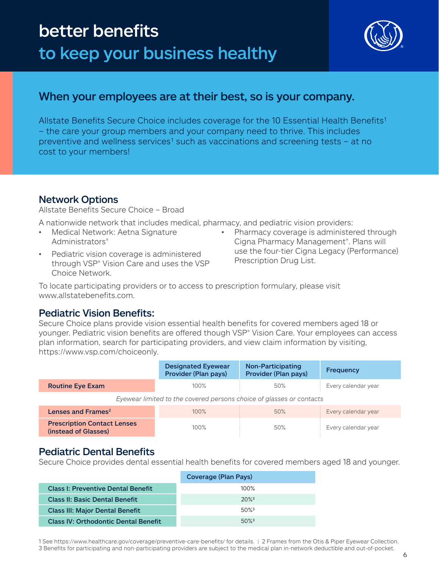## better benefits to keep your business healthy

![](_page_5_Picture_1.jpeg)

## When your employees are at their best, so is your company.

Allstate Benefits Secure Choice includes coverage for the 10 Essential Health Benefits<sup>1</sup> – the care your group members and your company need to thrive. This includes preventive and wellness services<sup>1</sup> such as vaccinations and screening tests – at no cost to your members!

## Network Options

Allstate Benefits Secure Choice – Broad

A nationwide network that includes medical, pharmacy, and pediatric vision providers:

- Medical Network: Aetna Signature Administrators®
- Pediatric vision coverage is administered through VSP® Vision Care and uses the VSP Choice Network.
- Pharmacy coverage is administered through Cigna Pharmacy Management®. Plans will use the four-tier Cigna Legacy (Performance) Prescription Drug List.

To locate participating providers or to access to prescription formulary, please visit www.allstatebenefits.com.

### Pediatric Vision Benefits:

Secure Choice plans provide vision essential health benefits for covered members aged 18 or younger. Pediatric vision benefits are offered though VSP® Vision Care. Your employees can access plan information, search for participating providers, and view claim information by visiting, https://www.vsp.com/choiceonly.

|                                                                      | <b>Designated Eyewear</b><br>Provider (Plan pays) | Non-Participating<br>Provider (Plan pays) | <b>Frequency</b>    |  |  |
|----------------------------------------------------------------------|---------------------------------------------------|-------------------------------------------|---------------------|--|--|
| <b>Routine Eye Exam</b>                                              | 100%                                              | 50%                                       | Every calendar year |  |  |
| Eyewear limited to the covered persons choice of glasses or contacts |                                                   |                                           |                     |  |  |
| Lenses and Frames <sup>2</sup>                                       | 100%                                              | 50%                                       | Every calendar year |  |  |
| <b>Prescription Contact Lenses</b><br>(instead of Glasses)           | 100%                                              | 50%                                       | Every calendar year |  |  |

### Pediatric Dental Benefits

Secure Choice provides dental essential health benefits for covered members aged 18 and younger.

|                                             | Coverage (Plan Pays) |
|---------------------------------------------|----------------------|
| <b>Class I: Preventive Dental Benefit</b>   | $100\%$              |
| <b>Class II: Basic Dental Benefit</b>       | $20\%$ <sup>3</sup>  |
| <b>Class III: Major Dental Benefit</b>      | $50\%$ <sup>3</sup>  |
| <b>Class IV: Orthodontic Dental Benefit</b> | $50\%$ <sup>3</sup>  |

1 See https://www.healthcare.gov/coverage/preventive-care-benefits/ for details. | 2 Frames from the Otis & Piper Eyewear Collection. 3 Benefits for participating and non-participating providers are subject to the medical plan in-network deductible and out-of-pocket.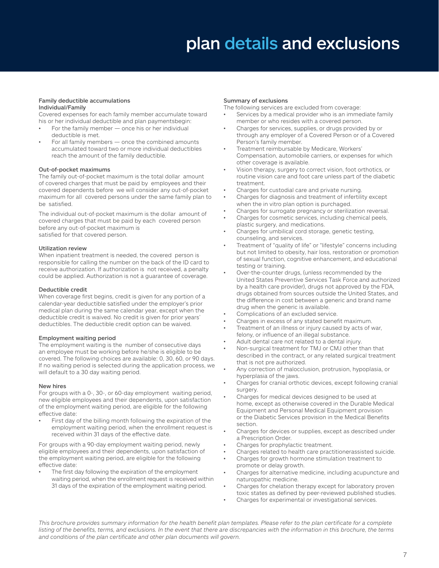## plan details and exclusions

#### Family deductible accumulations Individual/Family

Covered expenses for each family member accumulate toward his or her individual deductible and plan paymentsbegin:

- For the family member  $-$  once his or her individual deductible is met.
- For all family members  $-$  once the combined amounts accumulated toward two or more individual deductibles reach the amount of the family deductible.

#### Out-of-pocket maximums

The family out-of-pocket maximum is the total dollar amount of covered charges that must be paid by employees and their covered dependents before we will consider any out-of-pocket maximum for all covered persons under the same family plan to be satisfied.

The individual out-of-pocket maximum is the dollar amount of covered charges that must be paid by each covered person before any out-of-pocket maximum is satisfied for that covered person.

#### Utilization review

When inpatient treatment is needed, the covered person is responsible for calling the number on the back of the ID card to receive authorization. If authorization is not received, a penalty could be applied. Authorization is not a guarantee of coverage.

#### Deductible credit

When coverage first begins, credit is given for any portion of a calendar-year deductible satisfied under the employer's prior medical plan during the same calendar year, except when the deductible credit is waived. No credit is given for prior years' deductibles. The deductible credit option can be waived.

#### Employment waiting period

The employment waiting is the number of consecutive days an employee must be working before he/she is eligible to be covered. The following choices are available: 0, 30, 60, or 90 days. If no waiting period is selected during the application process, we will default to a 30 day waiting period.

#### New hires

For groups with a 0-, 30-, or 60-day employment waiting period, new eligible employees and their dependents, upon satisfaction of the employment waiting period, are eligible for the following effective date:

First day of the billing month following the expiration of the employment waiting period, when the enrollment request is received within 31 days of the effective date.

For groups with a 90-day employment waiting period, newly eligible employees and their dependents, upon satisfaction of the employment waiting period, are eligible for the following effective date:

The first day following the expiration of the employment waiting period, when the enrollment request is received within 31 days of the expiration of the employment waiting period.

#### Summary of exclusions

The following services are excluded from coverage:

- Services by a medical provider who is an immediate family member or who resides with a covered person.
- Charges for services, supplies, or drugs provided by or through any employer of a Covered Person or of a Covered Person's family member.
- Treatment reimbursable by Medicare, Workers' Compensation, automobile carriers, or expenses for which other coverage is available.
- Vision therapy, surgery to correct vision, foot orthotics, or routine vision care and foot care unless part of the diabetic treatment.
- Charges for custodial care and private nursing.
- Charges for diagnosis and treatment of infertility except when the in vitro plan option is purchaged.
- Charges for surrogate pregnancy or sterilization reversal. • Charges for cosmetic services, including chemical peels,
- plastic surgery, and medications. Charges for umbilical cord storage, genetic testing,
- counseling, and services.
- Treatment of "quality of life" or "lifestyle" concerns including but not limited to obesity, hair loss, restoration or promotion of sexual function, cognitive enhancement, and educational testing or training.
- Over-the-counter drugs, (unless recommended by the United States Preventive Services Task Force and authorized by a health care provider), drugs not approved by the FDA, drugs obtained from sources outside the United States, and the difference in cost between a generic and brand name drug when the generic is available.
- Complications of an excluded service.
- Charges in excess of any stated benefit maximum.
- Treatment of an illness or injury caused by acts of war, felony, or influence of an illegal substance.
- Adult dental care not related to a dental injury.
- Non-surgical treatment for TMJ or CMJ other than that described in the contract, or any related surgical treatment that is not pre authorized.
- Any correction of malocclusion, protrusion, hypoplasia, or hyperplasia of the jaws.
- Charges for cranial orthotic devices, except following cranial surgery.
- Charges for medical devices designed to be used at home, except as otherwise covered in the Durable Medical Equipment and Personal Medical Equipment provision or the Diabetic Services provision in the Medical Benefits section.
- Charges for devices or supplies, except as described under a Prescription Order.
- Charges for prophylactic treatment.
- Charges related to health care practitionerassisted suicide.
- Charges for growth hormone stimulation treatment to promote or delay growth.
- Charges for alternative medicine, including acupuncture and naturopathic medicine.
- Charges for chelation therapy except for laboratory proven toxic states as defined by peer-reviewed published studies.
- Charges for experimental or investigational services.

*This brochure provides summary information for the health benefit plan templates. Please refer to the plan certificate for a complete listing of the benefits, terms, and exclusions. In the event that there are discrepancies with the information in this brochure, the terms and conditions of the plan certificate and other plan documents will govern.*